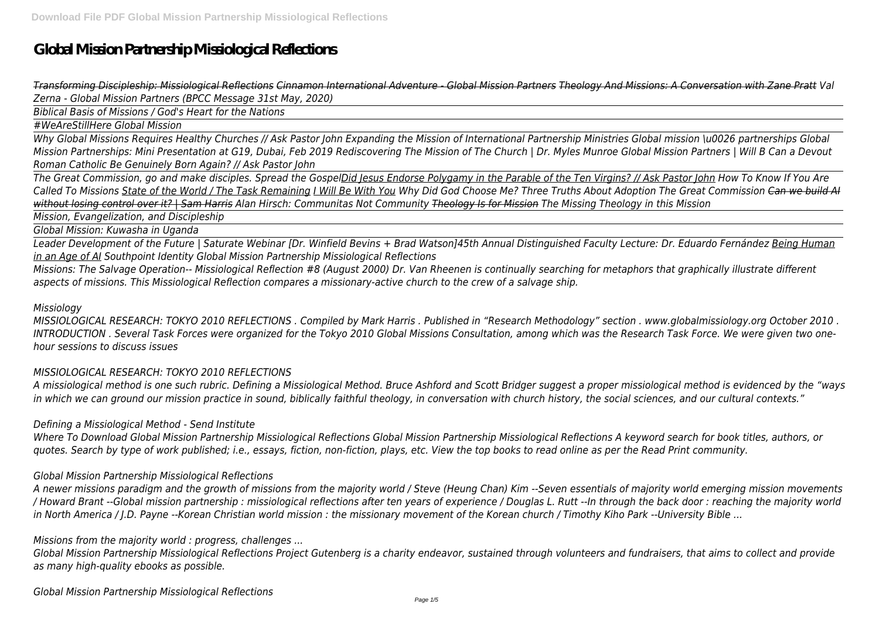# **Global Mission Partnership Missiological Reflections**

*Transforming Discipleship: Missiological Reflections Cinnamon International Adventure - Global Mission Partners Theology And Missions: A Conversation with Zane Pratt Val Zerna - Global Mission Partners (BPCC Message 31st May, 2020)*

*Biblical Basis of Missions / God's Heart for the Nations*

*#WeAreStillHere Global Mission*

*Why Global Missions Requires Healthy Churches // Ask Pastor John Expanding the Mission of International Partnership Ministries Global mission \u0026 partnerships Global Mission Partnerships: Mini Presentation at G19, Dubai, Feb 2019 Rediscovering The Mission of The Church | Dr. Myles Munroe Global Mission Partners | Will B Can a Devout Roman Catholic Be Genuinely Born Again? // Ask Pastor John*

*The Great Commission, go and make disciples. Spread the GospelDid Jesus Endorse Polygamy in the Parable of the Ten Virgins? // Ask Pastor John How To Know If You Are Called To Missions State of the World / The Task Remaining I Will Be With You Why Did God Choose Me? Three Truths About Adoption The Great Commission Can we build AI without losing control over it? | Sam Harris Alan Hirsch: Communitas Not Community Theology Is for Mission The Missing Theology in this Mission*

*Mission, Evangelization, and Discipleship*

*Global Mission: Kuwasha in Uganda*

*Leader Development of the Future | Saturate Webinar [Dr. Winfield Bevins + Brad Watson]45th Annual Distinguished Faculty Lecture: Dr. Eduardo Fernández Being Human in an Age of AI Southpoint Identity Global Mission Partnership Missiological Reflections*

*Missions: The Salvage Operation-- Missiological Reflection #8 (August 2000) Dr. Van Rheenen is continually searching for metaphors that graphically illustrate different aspects of missions. This Missiological Reflection compares a missionary-active church to the crew of a salvage ship.*

#### *Missiology*

*MISSIOLOGICAL RESEARCH: TOKYO 2010 REFLECTIONS . Compiled by Mark Harris . Published in "Research Methodology" section . www.globalmissiology.org October 2010 . INTRODUCTION . Several Task Forces were organized for the Tokyo 2010 Global Missions Consultation, among which was the Research Task Force. We were given two onehour sessions to discuss issues*

# *MISSIOLOGICAL RESEARCH: TOKYO 2010 REFLECTIONS*

*A missiological method is one such rubric. Defining a Missiological Method. Bruce Ashford and Scott Bridger suggest a proper missiological method is evidenced by the "ways in which we can ground our mission practice in sound, biblically faithful theology, in conversation with church history, the social sciences, and our cultural contexts."*

#### *Defining a Missiological Method - Send Institute*

*Where To Download Global Mission Partnership Missiological Reflections Global Mission Partnership Missiological Reflections A keyword search for book titles, authors, or quotes. Search by type of work published; i.e., essays, fiction, non-fiction, plays, etc. View the top books to read online as per the Read Print community.*

#### *Global Mission Partnership Missiological Reflections*

*A newer missions paradigm and the growth of missions from the majority world / Steve (Heung Chan) Kim --Seven essentials of majority world emerging mission movements / Howard Brant --Global mission partnership : missiological reflections after ten years of experience / Douglas L. Rutt --In through the back door : reaching the majority world in North America / J.D. Payne --Korean Christian world mission : the missionary movement of the Korean church / Timothy Kiho Park --University Bible ...*

*Missions from the majority world : progress, challenges ...*

*Global Mission Partnership Missiological Reflections Project Gutenberg is a charity endeavor, sustained through volunteers and fundraisers, that aims to collect and provide as many high-quality ebooks as possible.*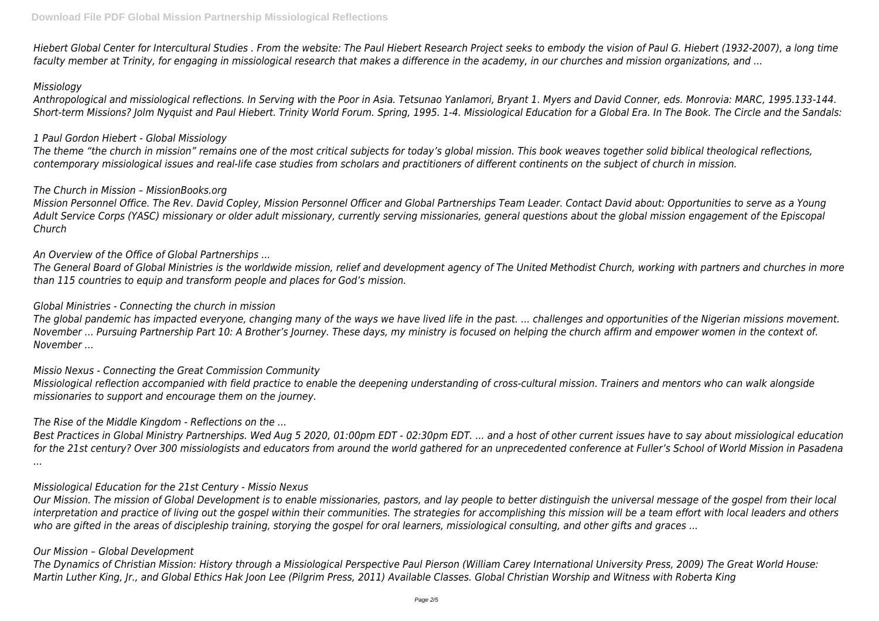*Hiebert Global Center for Intercultural Studies . From the website: The Paul Hiebert Research Project seeks to embody the vision of Paul G. Hiebert (1932-2007), a long time faculty member at Trinity, for engaging in missiological research that makes a difference in the academy, in our churches and mission organizations, and ...*

#### *Missiology*

*Anthropological and missiological reflections. In Serving with the Poor in Asia. Tetsunao Yanlamori, Bryant 1. Myers and David Conner, eds. Monrovia: MARC, 1995.133-144. Short-term Missions? Jolm Nyquist and Paul Hiebert. Trinity World Forum. Spring, 1995. 1-4. Missiological Education for a Global Era. In The Book. The Circle and the Sandals:*

#### *1 Paul Gordon Hiebert - Global Missiology*

*The theme "the church in mission" remains one of the most critical subjects for today's global mission. This book weaves together solid biblical theological reflections, contemporary missiological issues and real-life case studies from scholars and practitioners of different continents on the subject of church in mission.*

#### *The Church in Mission – MissionBooks.org*

*Mission Personnel Office. The Rev. David Copley, Mission Personnel Officer and Global Partnerships Team Leader. Contact David about: Opportunities to serve as a Young Adult Service Corps (YASC) missionary or older adult missionary, currently serving missionaries, general questions about the global mission engagement of the Episcopal Church*

*An Overview of the Office of Global Partnerships ...*

*The General Board of Global Ministries is the worldwide mission, relief and development agency of The United Methodist Church, working with partners and churches in more than 115 countries to equip and transform people and places for God's mission.*

#### *Global Ministries - Connecting the church in mission*

*The global pandemic has impacted everyone, changing many of the ways we have lived life in the past. ... challenges and opportunities of the Nigerian missions movement. November ... Pursuing Partnership Part 10: A Brother's Journey. These days, my ministry is focused on helping the church affirm and empower women in the context of. November ...*

# *Missio Nexus - Connecting the Great Commission Community*

*Missiological reflection accompanied with field practice to enable the deepening understanding of cross-cultural mission. Trainers and mentors who can walk alongside missionaries to support and encourage them on the journey.*

# *The Rise of the Middle Kingdom - Reflections on the ...*

*Best Practices in Global Ministry Partnerships. Wed Aug 5 2020, 01:00pm EDT - 02:30pm EDT. ... and a host of other current issues have to say about missiological education for the 21st century? Over 300 missiologists and educators from around the world gathered for an unprecedented conference at Fuller's School of World Mission in Pasadena ...*

#### *Missiological Education for the 21st Century - Missio Nexus*

*Our Mission. The mission of Global Development is to enable missionaries, pastors, and lay people to better distinguish the universal message of the gospel from their local interpretation and practice of living out the gospel within their communities. The strategies for accomplishing this mission will be a team effort with local leaders and others who are gifted in the areas of discipleship training, storying the gospel for oral learners, missiological consulting, and other gifts and graces ...*

#### *Our Mission – Global Development*

*The Dynamics of Christian Mission: History through a Missiological Perspective Paul Pierson (William Carey International University Press, 2009) The Great World House: Martin Luther King, Jr., and Global Ethics Hak Joon Lee (Pilgrim Press, 2011) Available Classes. Global Christian Worship and Witness with Roberta King*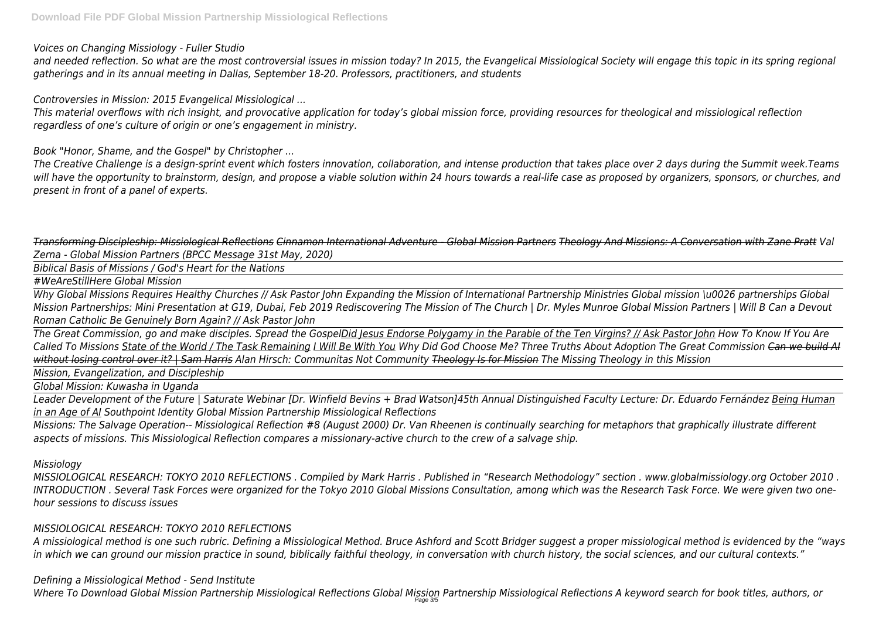*Voices on Changing Missiology - Fuller Studio*

*and needed reflection. So what are the most controversial issues in mission today? In 2015, the Evangelical Missiological Society will engage this topic in its spring regional gatherings and in its annual meeting in Dallas, September 18-20. Professors, practitioners, and students*

*Controversies in Mission: 2015 Evangelical Missiological ...*

*This material overflows with rich insight, and provocative application for today's global mission force, providing resources for theological and missiological reflection regardless of one's culture of origin or one's engagement in ministry.*

*Book "Honor, Shame, and the Gospel" by Christopher ...*

*The Creative Challenge is a design-sprint event which fosters innovation, collaboration, and intense production that takes place over 2 days during the Summit week.Teams will have the opportunity to brainstorm, design, and propose a viable solution within 24 hours towards a real-life case as proposed by organizers, sponsors, or churches, and present in front of a panel of experts.*

*Transforming Discipleship: Missiological Reflections Cinnamon International Adventure - Global Mission Partners Theology And Missions: A Conversation with Zane Pratt Val Zerna - Global Mission Partners (BPCC Message 31st May, 2020)*

*Biblical Basis of Missions / God's Heart for the Nations*

*#WeAreStillHere Global Mission*

*Why Global Missions Requires Healthy Churches // Ask Pastor John Expanding the Mission of International Partnership Ministries Global mission \u0026 partnerships Global Mission Partnerships: Mini Presentation at G19, Dubai, Feb 2019 Rediscovering The Mission of The Church | Dr. Myles Munroe Global Mission Partners | Will B Can a Devout Roman Catholic Be Genuinely Born Again? // Ask Pastor John*

*The Great Commission, go and make disciples. Spread the GospelDid Jesus Endorse Polygamy in the Parable of the Ten Virgins? // Ask Pastor John How To Know If You Are Called To Missions State of the World / The Task Remaining I Will Be With You Why Did God Choose Me? Three Truths About Adoption The Great Commission Can we build AI without losing control over it? | Sam Harris Alan Hirsch: Communitas Not Community Theology Is for Mission The Missing Theology in this Mission*

*Mission, Evangelization, and Discipleship*

*Global Mission: Kuwasha in Uganda*

*Leader Development of the Future | Saturate Webinar [Dr. Winfield Bevins + Brad Watson]45th Annual Distinguished Faculty Lecture: Dr. Eduardo Fernández Being Human in an Age of AI Southpoint Identity Global Mission Partnership Missiological Reflections*

*Missions: The Salvage Operation-- Missiological Reflection #8 (August 2000) Dr. Van Rheenen is continually searching for metaphors that graphically illustrate different aspects of missions. This Missiological Reflection compares a missionary-active church to the crew of a salvage ship.*

*Missiology*

*MISSIOLOGICAL RESEARCH: TOKYO 2010 REFLECTIONS . Compiled by Mark Harris . Published in "Research Methodology" section . www.globalmissiology.org October 2010 . INTRODUCTION . Several Task Forces were organized for the Tokyo 2010 Global Missions Consultation, among which was the Research Task Force. We were given two onehour sessions to discuss issues*

# *MISSIOLOGICAL RESEARCH: TOKYO 2010 REFLECTIONS*

*A missiological method is one such rubric. Defining a Missiological Method. Bruce Ashford and Scott Bridger suggest a proper missiological method is evidenced by the "ways in which we can ground our mission practice in sound, biblically faithful theology, in conversation with church history, the social sciences, and our cultural contexts."*

# *Defining a Missiological Method - Send Institute*

*Where To Download Global Mission Partnership Missiological Reflections Global Mission Partnership Missiological Reflections A keyword search for book titles, authors, or* Page 3/5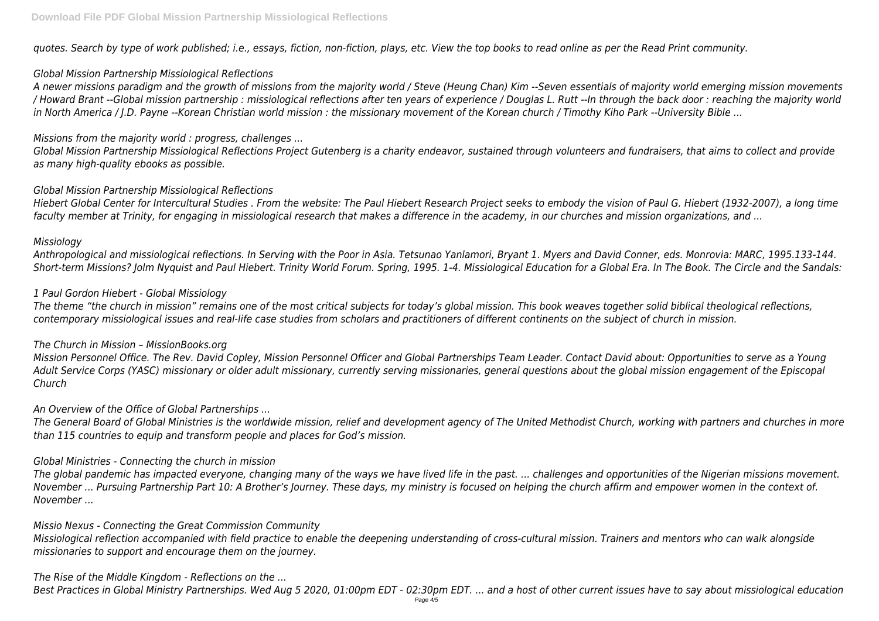*quotes. Search by type of work published; i.e., essays, fiction, non-fiction, plays, etc. View the top books to read online as per the Read Print community.*

# *Global Mission Partnership Missiological Reflections*

*A newer missions paradigm and the growth of missions from the majority world / Steve (Heung Chan) Kim --Seven essentials of majority world emerging mission movements / Howard Brant --Global mission partnership : missiological reflections after ten years of experience / Douglas L. Rutt --In through the back door : reaching the majority world in North America / J.D. Payne --Korean Christian world mission : the missionary movement of the Korean church / Timothy Kiho Park --University Bible ...*

# *Missions from the majority world : progress, challenges ...*

*Global Mission Partnership Missiological Reflections Project Gutenberg is a charity endeavor, sustained through volunteers and fundraisers, that aims to collect and provide as many high-quality ebooks as possible.*

# *Global Mission Partnership Missiological Reflections*

*Hiebert Global Center for Intercultural Studies . From the website: The Paul Hiebert Research Project seeks to embody the vision of Paul G. Hiebert (1932-2007), a long time faculty member at Trinity, for engaging in missiological research that makes a difference in the academy, in our churches and mission organizations, and ...*

# *Missiology*

*Anthropological and missiological reflections. In Serving with the Poor in Asia. Tetsunao Yanlamori, Bryant 1. Myers and David Conner, eds. Monrovia: MARC, 1995.133-144. Short-term Missions? Jolm Nyquist and Paul Hiebert. Trinity World Forum. Spring, 1995. 1-4. Missiological Education for a Global Era. In The Book. The Circle and the Sandals:*

# *1 Paul Gordon Hiebert - Global Missiology*

*The theme "the church in mission" remains one of the most critical subjects for today's global mission. This book weaves together solid biblical theological reflections, contemporary missiological issues and real-life case studies from scholars and practitioners of different continents on the subject of church in mission.*

# *The Church in Mission – MissionBooks.org*

*Mission Personnel Office. The Rev. David Copley, Mission Personnel Officer and Global Partnerships Team Leader. Contact David about: Opportunities to serve as a Young Adult Service Corps (YASC) missionary or older adult missionary, currently serving missionaries, general questions about the global mission engagement of the Episcopal Church*

# *An Overview of the Office of Global Partnerships ...*

*The General Board of Global Ministries is the worldwide mission, relief and development agency of The United Methodist Church, working with partners and churches in more than 115 countries to equip and transform people and places for God's mission.*

# *Global Ministries - Connecting the church in mission*

*The global pandemic has impacted everyone, changing many of the ways we have lived life in the past. ... challenges and opportunities of the Nigerian missions movement. November ... Pursuing Partnership Part 10: A Brother's Journey. These days, my ministry is focused on helping the church affirm and empower women in the context of. November ...*

# *Missio Nexus - Connecting the Great Commission Community*

*Missiological reflection accompanied with field practice to enable the deepening understanding of cross-cultural mission. Trainers and mentors who can walk alongside missionaries to support and encourage them on the journey.*

# *The Rise of the Middle Kingdom - Reflections on the ...*

*Best Practices in Global Ministry Partnerships. Wed Aug 5 2020, 01:00pm EDT - 02:30pm EDT. ... and a host of other current issues have to say about missiological education*